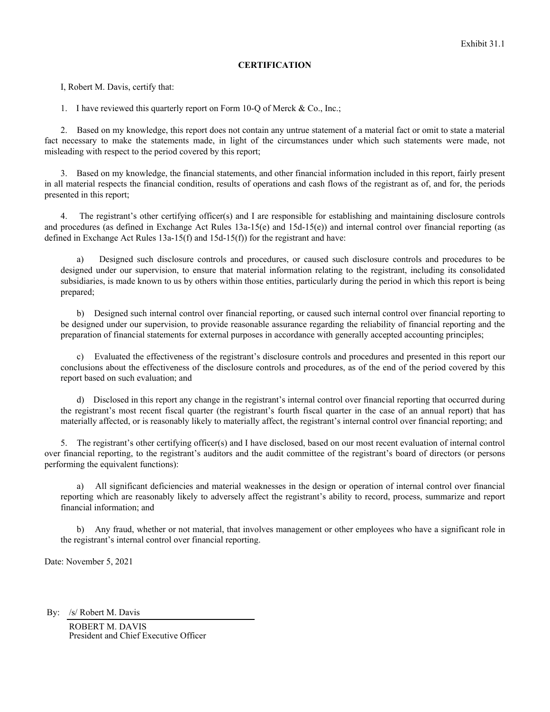## **CERTIFICATION**

I, Robert M. Davis, certify that:

1. I have reviewed this quarterly report on Form 10-Q of Merck & Co., Inc.;

2. Based on my knowledge, this report does not contain any untrue statement of a material fact or omit to state a material fact necessary to make the statements made, in light of the circumstances under which such statements were made, not misleading with respect to the period covered by this report;

3. Based on my knowledge, the financial statements, and other financial information included in this report, fairly present in all material respects the financial condition, results of operations and cash flows of the registrant as of, and for, the periods presented in this report;

4. The registrant's other certifying officer(s) and I are responsible for establishing and maintaining disclosure controls and procedures (as defined in Exchange Act Rules  $13a-15(e)$  and  $15d-15(e)$ ) and internal control over financial reporting (as defined in Exchange Act Rules 13a-15(f) and 15d-15(f)) for the registrant and have:

a) Designed such disclosure controls and procedures, or caused such disclosure controls and procedures to be designed under our supervision, to ensure that material information relating to the registrant, including its consolidated subsidiaries, is made known to us by others within those entities, particularly during the period in which this report is being prepared;

b) Designed such internal control over financial reporting, or caused such internal control over financial reporting to be designed under our supervision, to provide reasonable assurance regarding the reliability of financial reporting and the preparation of financial statements for external purposes in accordance with generally accepted accounting principles;

c) Evaluated the effectiveness of the registrant's disclosure controls and procedures and presented in this report our conclusions about the effectiveness of the disclosure controls and procedures, as of the end of the period covered by this report based on such evaluation; and

d) Disclosed in this report any change in the registrant's internal control over financial reporting that occurred during the registrant's most recent fiscal quarter (the registrant's fourth fiscal quarter in the case of an annual report) that has materially affected, or is reasonably likely to materially affect, the registrant's internal control over financial reporting; and

5. The registrant's other certifying officer(s) and I have disclosed, based on our most recent evaluation of internal control over financial reporting, to the registrant's auditors and the audit committee of the registrant's board of directors (or persons performing the equivalent functions):

a) All significant deficiencies and material weaknesses in the design or operation of internal control over financial reporting which are reasonably likely to adversely affect the registrant's ability to record, process, summarize and report financial information; and

b) Any fraud, whether or not material, that involves management or other employees who have a significant role in the registrant's internal control over financial reporting.

Date: November 5, 2021

By: /s/ Robert M. Davis

ROBERT M. DAVIS President and Chief Executive Officer